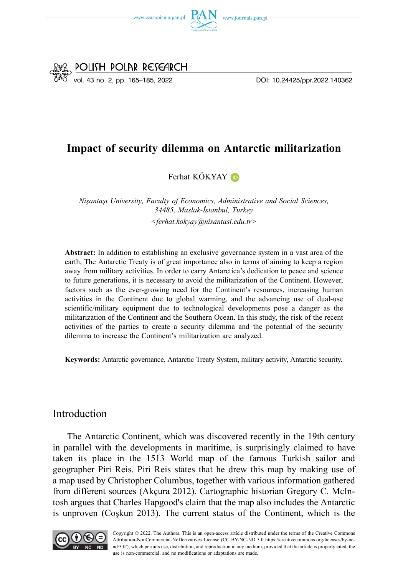



# **Impact of security dilemma on Antarctic militarization**

Ferhat KÖKYAY D

*Nişantaşı University, Faculty of Economics, Administrative and Social Sciences, 34485, Maslak-İstanbul, Turkey <ferhat.kokyay@nisantasi.edu.tr>* 

**Abstract:** In addition to establishing an exclusive governance system in a vast area of the earth, The Antarctic Treaty is of great importance also in terms of aiming to keep a region away from military activities. In order to carry Antarctica's dedication to peace and science to future generations, it is necessary to avoid the militarization of the Continent. However, factors such as the ever-growing need for the Continent's resources, increasing human activities in the Continent due to global warming, and the advancing use of dual-use scientific/military equipment due to technological developments pose a danger as the militarization of the Continent and the Southern Ocean. In this study, the risk of the recent activities of the parties to create a security dilemma and the potential of the security dilemma to increase the Continent's militarization are analyzed.

**Keywords:** Antarctic governance, Antarctic Treaty System, military activity, Antarctic security*.* 

### Introduction

The Antarctic Continent, which was discovered recently in the 19th century in parallel with the developments in maritime, is surprisingly claimed to have taken its place in the 1513 World map of the famous Turkish sailor and geographer Piri Reis. Piri Reis states that he drew this map by making use of a map used by Christopher Columbus, together with various information gathered from different sources (Akçura 2012). Cartographic historian Gregory C. McIntosh argues that Charles Hapgood's claim that the map also includes the Antarctic is unproven (Coşkun 2013). The current status of the Continent, which is the

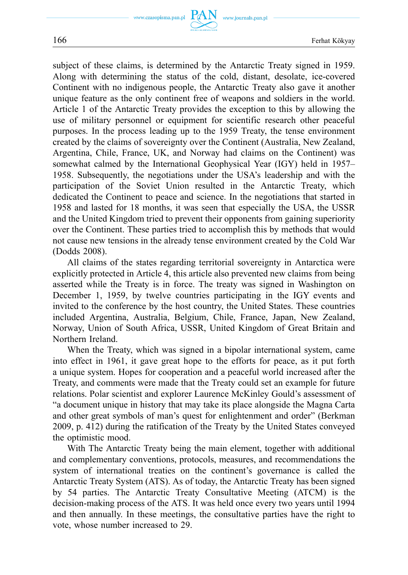subject of these claims, is determined by the Antarctic Treaty signed in 1959. Along with determining the status of the cold, distant, desolate, ice-covered Continent with no indigenous people, the Antarctic Treaty also gave it another unique feature as the only continent free of weapons and soldiers in the world. Article 1 of the Antarctic Treaty provides the exception to this by allowing the use of military personnel or equipment for scientific research other peaceful purposes. In the process leading up to the 1959 Treaty, the tense environment created by the claims of sovereignty over the Continent (Australia, New Zealand, Argentina, Chile, France, UK, and Norway had claims on the Continent) was somewhat calmed by the International Geophysical Year (IGY) held in 1957– 1958. Subsequently, the negotiations under the USA's leadership and with the participation of the Soviet Union resulted in the Antarctic Treaty, which dedicated the Continent to peace and science. In the negotiations that started in 1958 and lasted for 18 months, it was seen that especially the USA, the USSR and the United Kingdom tried to prevent their opponents from gaining superiority over the Continent. These parties tried to accomplish this by methods that would not cause new tensions in the already tense environment created by the Cold War (Dodds 2008).

All claims of the states regarding territorial sovereignty in Antarctica were explicitly protected in Article 4, this article also prevented new claims from being asserted while the Treaty is in force. The treaty was signed in Washington on December 1, 1959, by twelve countries participating in the IGY events and invited to the conference by the host country, the United States. These countries included Argentina, Australia, Belgium, Chile, France, Japan, New Zealand, Norway, Union of South Africa, USSR, United Kingdom of Great Britain and Northern Ireland.

When the Treaty, which was signed in a bipolar international system, came into effect in 1961, it gave great hope to the efforts for peace, as it put forth a unique system. Hopes for cooperation and a peaceful world increased after the Treaty, and comments were made that the Treaty could set an example for future relations. Polar scientist and explorer Laurence McKinley Gould's assessment of "a document unique in history that may take its place alongside the Magna Carta and other great symbols of man's quest for enlightenment and order" (Berkman 2009, p. 412) during the ratification of the Treaty by the United States conveyed the optimistic mood.

With The Antarctic Treaty being the main element, together with additional and complementary conventions, protocols, measures, and recommendations the system of international treaties on the continent's governance is called the Antarctic Treaty System (ATS). As of today, the Antarctic Treaty has been signed by 54 parties. The Antarctic Treaty Consultative Meeting (ATCM) is the decision-making process of the ATS. It was held once every two years until 1994 and then annually. In these meetings, the consultative parties have the right to vote, whose number increased to 29.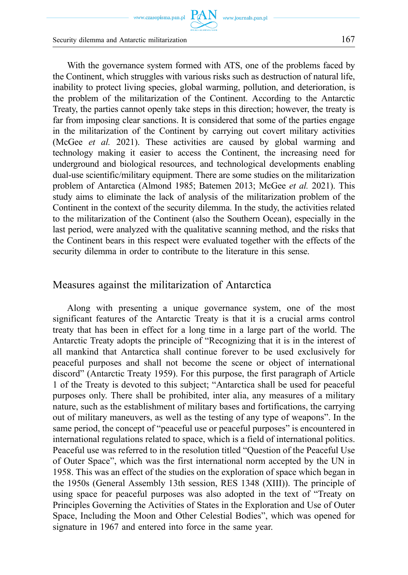www.czasopisma.pan.pl  $\text{ PAN}_{\!\!A\text{W}}$  www.journals.pan.pl

Security dilemma and Antarctic militarization 167

With the governance system formed with ATS, one of the problems faced by the Continent, which struggles with various risks such as destruction of natural life, inability to protect living species, global warming, pollution, and deterioration, is the problem of the militarization of the Continent. According to the Antarctic Treaty, the parties cannot openly take steps in this direction; however, the treaty is far from imposing clear sanctions. It is considered that some of the parties engage in the militarization of the Continent by carrying out covert military activities (McGee *et al.* 2021). These activities are caused by global warming and technology making it easier to access the Continent, the increasing need for underground and biological resources, and technological developments enabling dual-use scientific/military equipment. There are some studies on the militarization problem of Antarctica (Almond 1985; Batemen 2013; McGee *et al.* 2021). This study aims to eliminate the lack of analysis of the militarization problem of the Continent in the context of the security dilemma. In the study, the activities related to the militarization of the Continent (also the Southern Ocean), especially in the last period, were analyzed with the qualitative scanning method, and the risks that the Continent bears in this respect were evaluated together with the effects of the security dilemma in order to contribute to the literature in this sense.

## Measures against the militarization of Antarctica

Along with presenting a unique governance system, one of the most significant features of the Antarctic Treaty is that it is a crucial arms control treaty that has been in effect for a long time in a large part of the world. The Antarctic Treaty adopts the principle of "Recognizing that it is in the interest of all mankind that Antarctica shall continue forever to be used exclusively for peaceful purposes and shall not become the scene or object of international discord" (Antarctic Treaty 1959). For this purpose, the first paragraph of Article 1 of the Treaty is devoted to this subject; "Antarctica shall be used for peaceful purposes only. There shall be prohibited, inter alia, any measures of a military nature, such as the establishment of military bases and fortifications, the carrying out of military maneuvers, as well as the testing of any type of weapons". In the same period, the concept of "peaceful use or peaceful purposes" is encountered in international regulations related to space, which is a field of international politics. Peaceful use was referred to in the resolution titled "Question of the Peaceful Use of Outer Space", which was the first international norm accepted by the UN in 1958. This was an effect of the studies on the exploration of space which began in the 1950s (General Assembly 13th session, RES 1348 (XIII)). The principle of using space for peaceful purposes was also adopted in the text of "Treaty on Principles Governing the Activities of States in the Exploration and Use of Outer Space, Including the Moon and Other Celestial Bodies", which was opened for signature in 1967 and entered into force in the same year.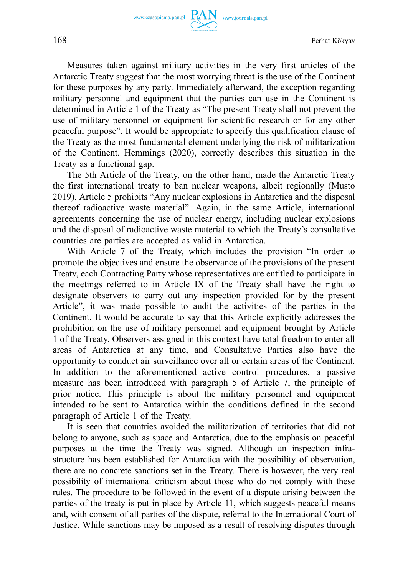Measures taken against military activities in the very first articles of the Antarctic Treaty suggest that the most worrying threat is the use of the Continent for these purposes by any party. Immediately afterward, the exception regarding military personnel and equipment that the parties can use in the Continent is determined in Article 1 of the Treaty as "The present Treaty shall not prevent the use of military personnel or equipment for scientific research or for any other peaceful purpose". It would be appropriate to specify this qualification clause of the Treaty as the most fundamental element underlying the risk of militarization of the Continent. Hemmings (2020), correctly describes this situation in the Treaty as a functional gap.

The 5th Article of the Treaty, on the other hand, made the Antarctic Treaty the first international treaty to ban nuclear weapons, albeit regionally (Musto 2019). Article 5 prohibits "Any nuclear explosions in Antarctica and the disposal thereof radioactive waste material". Again, in the same Article, international agreements concerning the use of nuclear energy, including nuclear explosions and the disposal of radioactive waste material to which the Treaty's consultative countries are parties are accepted as valid in Antarctica.

With Article 7 of the Treaty, which includes the provision "In order to promote the objectives and ensure the observance of the provisions of the present Treaty, each Contracting Party whose representatives are entitled to participate in the meetings referred to in Article IX of the Treaty shall have the right to designate observers to carry out any inspection provided for by the present Article", it was made possible to audit the activities of the parties in the Continent. It would be accurate to say that this Article explicitly addresses the prohibition on the use of military personnel and equipment brought by Article 1 of the Treaty. Observers assigned in this context have total freedom to enter all areas of Antarctica at any time, and Consultative Parties also have the opportunity to conduct air surveillance over all or certain areas of the Continent. In addition to the aforementioned active control procedures, a passive measure has been introduced with paragraph 5 of Article 7, the principle of prior notice. This principle is about the military personnel and equipment intended to be sent to Antarctica within the conditions defined in the second paragraph of Article 1 of the Treaty.

It is seen that countries avoided the militarization of territories that did not belong to anyone, such as space and Antarctica, due to the emphasis on peaceful purposes at the time the Treaty was signed. Although an inspection infrastructure has been established for Antarctica with the possibility of observation, there are no concrete sanctions set in the Treaty. There is however, the very real possibility of international criticism about those who do not comply with these rules. The procedure to be followed in the event of a dispute arising between the parties of the treaty is put in place by Article 11, which suggests peaceful means and, with consent of all parties of the dispute, referral to the International Court of Justice. While sanctions may be imposed as a result of resolving disputes through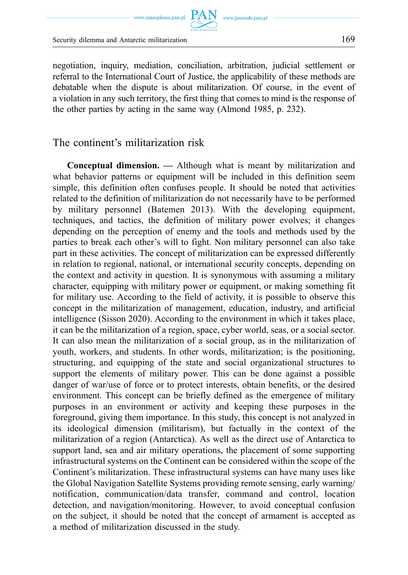Security dilemma and Antarctic militarization 169

negotiation, inquiry, mediation, conciliation, arbitration, judicial settlement or referral to the International Court of Justice, the applicability of these methods are debatable when the dispute is about militarization. Of course, in the event of a violation in any such territory, the first thing that comes to mind is the response of the other parties by acting in the same way (Almond 1985, p. 232).

The continent's militarization risk

**Conceptual dimension. —** Although what is meant by militarization and what behavior patterns or equipment will be included in this definition seem simple, this definition often confuses people. It should be noted that activities related to the definition of militarization do not necessarily have to be performed by military personnel (Batemen 2013). With the developing equipment, techniques, and tactics, the definition of military power evolves; it changes depending on the perception of enemy and the tools and methods used by the parties to break each other's will to fight. Non military personnel can also take part in these activities. The concept of militarization can be expressed differently in relation to regional, national, or international security concepts, depending on the context and activity in question. It is synonymous with assuming a military character, equipping with military power or equipment, or making something fit for military use. According to the field of activity, it is possible to observe this concept in the militarization of management, education, industry, and artificial intelligence (Sisson 2020). According to the environment in which it takes place, it can be the militarization of a region, space, cyber world, seas, or a social sector. It can also mean the militarization of a social group, as in the militarization of youth, workers, and students. In other words, militarization; is the positioning, structuring, and equipping of the state and social organizational structures to support the elements of military power. This can be done against a possible danger of war/use of force or to protect interests, obtain benefits, or the desired environment. This concept can be briefly defined as the emergence of military purposes in an environment or activity and keeping these purposes in the foreground, giving them importance. In this study, this concept is not analyzed in its ideological dimension (militarism), but factually in the context of the militarization of a region (Antarctica). As well as the direct use of Antarctica to support land, sea and air military operations, the placement of some supporting infrastructural systems on the Continent can be considered within the scope of the Continent's militarization. These infrastructural systems can have many uses like the Global Navigation Satellite Systems providing remote sensing, early warning/ notification, communication/data transfer, command and control, location detection, and navigation/monitoring. However, to avoid conceptual confusion on the subject, it should be noted that the concept of armament is accepted as a method of militarization discussed in the study.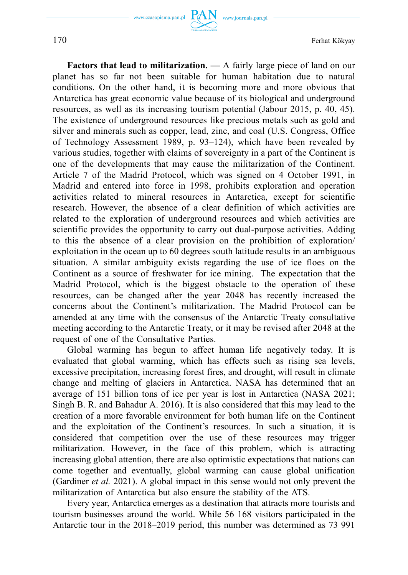**Factors that lead to militarization. —** A fairly large piece of land on our planet has so far not been suitable for human habitation due to natural conditions. On the other hand, it is becoming more and more obvious that Antarctica has great economic value because of its biological and underground resources, as well as its increasing tourism potential (Jabour 2015, p. 40, 45). The existence of underground resources like precious metals such as gold and silver and minerals such as copper, lead, zinc, and coal (U.S. Congress, Office of Technology Assessment 1989, p. 93–124), which have been revealed by various studies, together with claims of sovereignty in a part of the Continent is one of the developments that may cause the militarization of the Continent. Article 7 of the Madrid Protocol, which was signed on 4 October 1991, in Madrid and entered into force in 1998, prohibits exploration and operation activities related to mineral resources in Antarctica, except for scientific research. However, the absence of a clear definition of which activities are related to the exploration of underground resources and which activities are scientific provides the opportunity to carry out dual-purpose activities. Adding to this the absence of a clear provision on the prohibition of exploration/ exploitation in the ocean up to 60 degrees south latitude results in an ambiguous situation. A similar ambiguity exists regarding the use of ice floes on the Continent as a source of freshwater for ice mining. The expectation that the Madrid Protocol, which is the biggest obstacle to the operation of these resources, can be changed after the year 2048 has recently increased the concerns about the Continent's militarization. The Madrid Protocol can be amended at any time with the consensus of the Antarctic Treaty consultative meeting according to the Antarctic Treaty, or it may be revised after 2048 at the request of one of the Consultative Parties.

Global warming has begun to affect human life negatively today. It is evaluated that global warming, which has effects such as rising sea levels, excessive precipitation, increasing forest fires, and drought, will result in climate change and melting of glaciers in Antarctica. NASA has determined that an average of 151 billion tons of ice per year is lost in Antarctica (NASA 2021; Singh B. R. and Bahadur A. 2016). It is also considered that this may lead to the creation of a more favorable environment for both human life on the Continent and the exploitation of the Continent's resources. In such a situation, it is considered that competition over the use of these resources may trigger militarization. However, in the face of this problem, which is attracting increasing global attention, there are also optimistic expectations that nations can come together and eventually, global warming can cause global unification (Gardiner *et al.* 2021). A global impact in this sense would not only prevent the militarization of Antarctica but also ensure the stability of the ATS.

Every year, Antarctica emerges as a destination that attracts more tourists and tourism businesses around the world. While 56 168 visitors participated in the Antarctic tour in the 2018–2019 period, this number was determined as 73 991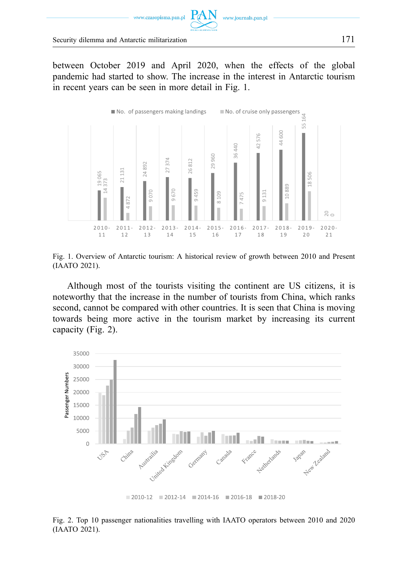

Security dilemma and Antarctic militarization 171

between October 2019 and April 2020, when the effects of the global pandemic had started to show. The increase in the interest in Antarctic tourism in recent years can be seen in more detail in Fig. 1.



Fig. 1. Overview of Antarctic tourism: A historical review of growth between 2010 and Present (IAATO 2021).

Although most of the tourists visiting the continent are US citizens, it is noteworthy that the increase in the number of tourists from China, which ranks second, cannot be compared with other countries. It is seen that China is moving towards being more active in the tourism market by increasing its current capacity (Fig. 2).



Fig. 2. Top 10 passenger nationalities travelling with IAATO operators between 2010 and 2020 (IAATO 2021).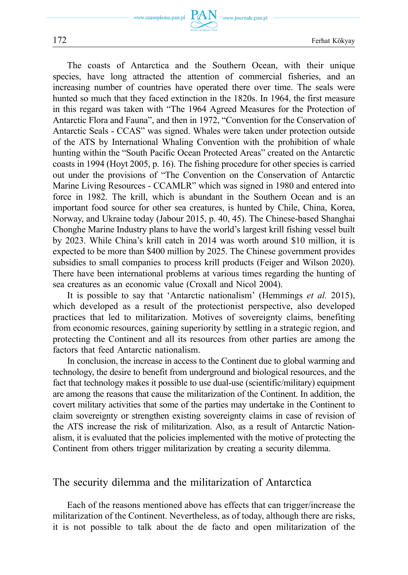www.czasopisma.pan.pl PAN

www.journals.pan.pl



172 Ferhat Kökyay

The coasts of Antarctica and the Southern Ocean, with their unique species, have long attracted the attention of commercial fisheries, and an increasing number of countries have operated there over time. The seals were hunted so much that they faced extinction in the 1820s. In 1964, the first measure in this regard was taken with "The 1964 Agreed Measures for the Protection of Antarctic Flora and Fauna", and then in 1972, "Convention for the Conservation of Antarctic Seals - CCAS" was signed. Whales were taken under protection outside of the ATS by International Whaling Convention with the prohibition of whale hunting within the "South Pacific Ocean Protected Areas" created on the Antarctic coasts in 1994 (Hoyt 2005, p. 16). The fishing procedure for other species is carried out under the provisions of "The Convention on the Conservation of Antarctic Marine Living Resources - CCAMLR" which was signed in 1980 and entered into force in 1982. The krill, which is abundant in the Southern Ocean and is an important food source for other sea creatures, is hunted by Chile, China, Korea, Norway, and Ukraine today (Jabour 2015, p. 40, 45). The Chinese-based Shanghai Chonghe Marine Industry plans to have the world's largest krill fishing vessel built by 2023. While China's krill catch in 2014 was worth around \$10 million, it is expected to be more than \$400 million by 2025. The Chinese government provides subsidies to small companies to process krill products (Feiger and Wilson 2020). There have been international problems at various times regarding the hunting of sea creatures as an economic value (Croxall and Nicol 2004).

It is possible to say that 'Antarctic nationalism' (Hemmings *et al.* 2015), which developed as a result of the protectionist perspective, also developed practices that led to militarization. Motives of sovereignty claims, benefiting from economic resources, gaining superiority by settling in a strategic region, and protecting the Continent and all its resources from other parties are among the factors that feed Antarctic nationalism.

In conclusion, the increase in access to the Continent due to global warming and technology, the desire to benefit from underground and biological resources, and the fact that technology makes it possible to use dual-use (scientific/military) equipment are among the reasons that cause the militarization of the Continent. In addition, the covert military activities that some of the parties may undertake in the Continent to claim sovereignty or strengthen existing sovereignty claims in case of revision of the ATS increase the risk of militarization. Also, as a result of Antarctic Nationalism, it is evaluated that the policies implemented with the motive of protecting the Continent from others trigger militarization by creating a security dilemma.

#### The security dilemma and the militarization of Antarctica

Each of the reasons mentioned above has effects that can trigger/increase the militarization of the Continent. Nevertheless, as of today, although there are risks, it is not possible to talk about the de facto and open militarization of the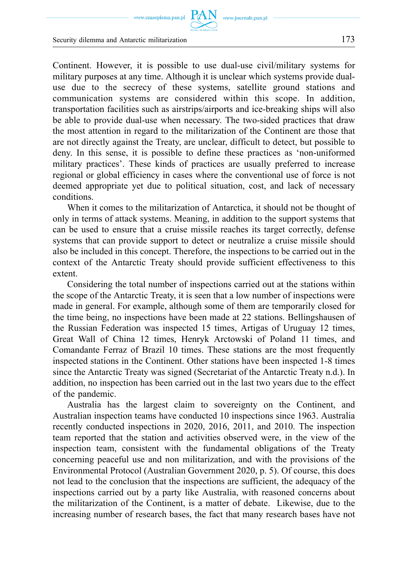www.czasopisma.pan.pl

Security dilemma and Antarctic militarization 173

Continent. However, it is possible to use dual-use civil/military systems for military purposes at any time. Although it is unclear which systems provide dualuse due to the secrecy of these systems, satellite ground stations and communication systems are considered within this scope. In addition, transportation facilities such as airstrips/airports and ice-breaking ships will also be able to provide dual-use when necessary. The two-sided practices that draw the most attention in regard to the militarization of the Continent are those that are not directly against the Treaty, are unclear, difficult to detect, but possible to deny. In this sense, it is possible to define these practices as 'non-uniformed military practices'. These kinds of practices are usually preferred to increase regional or global efficiency in cases where the conventional use of force is not deemed appropriate yet due to political situation, cost, and lack of necessary conditions.

When it comes to the militarization of Antarctica, it should not be thought of only in terms of attack systems. Meaning, in addition to the support systems that can be used to ensure that a cruise missile reaches its target correctly, defense systems that can provide support to detect or neutralize a cruise missile should also be included in this concept. Therefore, the inspections to be carried out in the context of the Antarctic Treaty should provide sufficient effectiveness to this extent.

Considering the total number of inspections carried out at the stations within the scope of the Antarctic Treaty, it is seen that a low number of inspections were made in general. For example, although some of them are temporarily closed for the time being, no inspections have been made at 22 stations. Bellingshausen of the Russian Federation was inspected 15 times, Artigas of Uruguay 12 times, Great Wall of China 12 times, Henryk Arctowski of Poland 11 times, and Comandante Ferraz of Brazil 10 times. These stations are the most frequently inspected stations in the Continent. Other stations have been inspected 1-8 times since the Antarctic Treaty was signed (Secretariat of the Antarctic Treaty n.d.). In addition, no inspection has been carried out in the last two years due to the effect of the pandemic.

Australia has the largest claim to sovereignty on the Continent, and Australian inspection teams have conducted 10 inspections since 1963. Australia recently conducted inspections in 2020, 2016, 2011, and 2010. The inspection team reported that the station and activities observed were, in the view of the inspection team, consistent with the fundamental obligations of the Treaty concerning peaceful use and non militarization, and with the provisions of the Environmental Protocol (Australian Government 2020, p. 5). Of course, this does not lead to the conclusion that the inspections are sufficient, the adequacy of the inspections carried out by a party like Australia, with reasoned concerns about the militarization of the Continent, is a matter of debate. Likewise, due to the increasing number of research bases, the fact that many research bases have not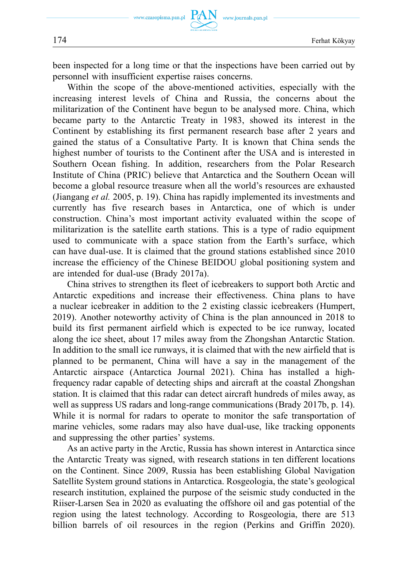

been inspected for a long time or that the inspections have been carried out by personnel with insufficient expertise raises concerns.

Within the scope of the above-mentioned activities, especially with the increasing interest levels of China and Russia, the concerns about the militarization of the Continent have begun to be analysed more. China, which became party to the Antarctic Treaty in 1983, showed its interest in the Continent by establishing its first permanent research base after 2 years and gained the status of a Consultative Party. It is known that China sends the highest number of tourists to the Continent after the USA and is interested in Southern Ocean fishing. In addition, researchers from the Polar Research Institute of China (PRIC) believe that Antarctica and the Southern Ocean will become a global resource treasure when all the world's resources are exhausted (Jiangang *et al.* 2005, p. 19). China has rapidly implemented its investments and currently has five research bases in Antarctica, one of which is under construction. China's most important activity evaluated within the scope of militarization is the satellite earth stations. This is a type of radio equipment used to communicate with a space station from the Earth's surface, which can have dual-use. It is claimed that the ground stations established since 2010 increase the efficiency of the Chinese BEIDOU global positioning system and are intended for dual-use (Brady 2017a).

China strives to strengthen its fleet of icebreakers to support both Arctic and Antarctic expeditions and increase their effectiveness. China plans to have a nuclear icebreaker in addition to the 2 existing classic icebreakers (Humpert, 2019). Another noteworthy activity of China is the plan announced in 2018 to build its first permanent airfield which is expected to be ice runway, located along the ice sheet, about 17 miles away from the Zhongshan Antarctic Station. In addition to the small ice runways, it is claimed that with the new airfield that is planned to be permanent, China will have a say in the management of the Antarctic airspace (Antarctica Journal 2021). China has installed a highfrequency radar capable of detecting ships and aircraft at the coastal Zhongshan station. It is claimed that this radar can detect aircraft hundreds of miles away, as well as suppress US radars and long-range communications (Brady 2017b, p. 14). While it is normal for radars to operate to monitor the safe transportation of marine vehicles, some radars may also have dual-use, like tracking opponents and suppressing the other parties' systems.

As an active party in the Arctic, Russia has shown interest in Antarctica since the Antarctic Treaty was signed, with research stations in ten different locations on the Continent. Since 2009, Russia has been establishing Global Navigation Satellite System ground stations in Antarctica. Rosgeologia, the state's geological research institution, explained the purpose of the seismic study conducted in the Riiser-Larsen Sea in 2020 as evaluating the offshore oil and gas potential of the region using the latest technology. According to Rosgeologia, there are 513 billion barrels of oil resources in the region (Perkins and Griffin 2020).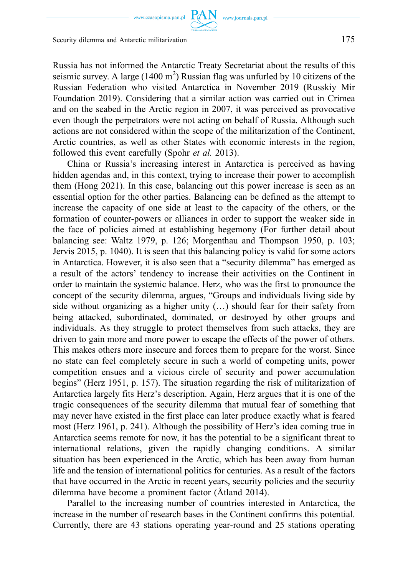www.czasopisma.pan.pl

Security dilemma and Antarctic militarization 175

Russia has not informed the Antarctic Treaty Secretariat about the results of this seismic survey. A large  $(1400 \text{ m}^2)$  Russian flag was unfurled by 10 citizens of the Russian Federation who visited Antarctica in November 2019 (Russkiy Mir Foundation 2019). Considering that a similar action was carried out in Crimea and on the seabed in the Arctic region in 2007, it was perceived as provocative even though the perpetrators were not acting on behalf of Russia. Although such actions are not considered within the scope of the militarization of the Continent, Arctic countries, as well as other States with economic interests in the region, followed this event carefully (Spohr *et al.* 2013).

China or Russia's increasing interest in Antarctica is perceived as having hidden agendas and, in this context, trying to increase their power to accomplish them (Hong 2021). In this case, balancing out this power increase is seen as an essential option for the other parties. Balancing can be defined as the attempt to increase the capacity of one side at least to the capacity of the others, or the formation of counter-powers or alliances in order to support the weaker side in the face of policies aimed at establishing hegemony (For further detail about balancing see: Waltz 1979, p. 126; Morgenthau and Thompson 1950, p. 103; Jervis 2015, p. 1040). It is seen that this balancing policy is valid for some actors in Antarctica. However, it is also seen that a "security dilemma" has emerged as a result of the actors' tendency to increase their activities on the Continent in order to maintain the systemic balance. Herz, who was the first to pronounce the concept of the security dilemma, argues, "Groups and individuals living side by side without organizing as a higher unity (…) should fear for their safety from being attacked, subordinated, dominated, or destroyed by other groups and individuals. As they struggle to protect themselves from such attacks, they are driven to gain more and more power to escape the effects of the power of others. This makes others more insecure and forces them to prepare for the worst. Since no state can feel completely secure in such a world of competing units, power competition ensues and a vicious circle of security and power accumulation begins" (Herz 1951, p. 157). The situation regarding the risk of militarization of Antarctica largely fits Herz's description. Again, Herz argues that it is one of the tragic consequences of the security dilemma that mutual fear of something that may never have existed in the first place can later produce exactly what is feared most (Herz 1961, p. 241). Although the possibility of Herz's idea coming true in Antarctica seems remote for now, it has the potential to be a significant threat to international relations, given the rapidly changing conditions. A similar situation has been experienced in the Arctic, which has been away from human life and the tension of international politics for centuries. As a result of the factors that have occurred in the Arctic in recent years, security policies and the security dilemma have become a prominent factor (Åtland 2014).

Parallel to the increasing number of countries interested in Antarctica, the increase in the number of research bases in the Continent confirms this potential. Currently, there are 43 stations operating year-round and 25 stations operating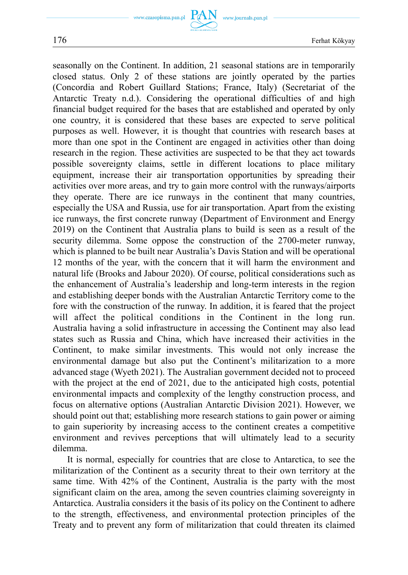seasonally on the Continent. In addition, 21 seasonal stations are in temporarily closed status. Only 2 of these stations are jointly operated by the parties (Concordia and Robert Guillard Stations; France, Italy) (Secretariat of the Antarctic Treaty n.d.). Considering the operational difficulties of and high financial budget required for the bases that are established and operated by only one country, it is considered that these bases are expected to serve political purposes as well. However, it is thought that countries with research bases at more than one spot in the Continent are engaged in activities other than doing research in the region. These activities are suspected to be that they act towards possible sovereignty claims, settle in different locations to place military equipment, increase their air transportation opportunities by spreading their activities over more areas, and try to gain more control with the runways/airports they operate. There are ice runways in the continent that many countries, especially the USA and Russia, use for air transportation. Apart from the existing ice runways, the first concrete runway (Department of Environment and Energy 2019) on the Continent that Australia plans to build is seen as a result of the security dilemma. Some oppose the construction of the 2700-meter runway, which is planned to be built near Australia's Davis Station and will be operational 12 months of the year, with the concern that it will harm the environment and natural life (Brooks and Jabour 2020). Of course, political considerations such as the enhancement of Australia's leadership and long-term interests in the region and establishing deeper bonds with the Australian Antarctic Territory come to the fore with the construction of the runway. In addition, it is feared that the project will affect the political conditions in the Continent in the long run. Australia having a solid infrastructure in accessing the Continent may also lead states such as Russia and China, which have increased their activities in the Continent, to make similar investments. This would not only increase the environmental damage but also put the Continent's militarization to a more advanced stage (Wyeth 2021). The Australian government decided not to proceed with the project at the end of 2021, due to the anticipated high costs, potential environmental impacts and complexity of the lengthy construction process, and focus on alternative options (Australian Antarctic Division 2021). However, we should point out that; establishing more research stations to gain power or aiming to gain superiority by increasing access to the continent creates a competitive environment and revives perceptions that will ultimately lead to a security dilemma.

It is normal, especially for countries that are close to Antarctica, to see the militarization of the Continent as a security threat to their own territory at the same time. With 42% of the Continent, Australia is the party with the most significant claim on the area, among the seven countries claiming sovereignty in Antarctica. Australia considers it the basis of its policy on the Continent to adhere to the strength, effectiveness, and environmental protection principles of the Treaty and to prevent any form of militarization that could threaten its claimed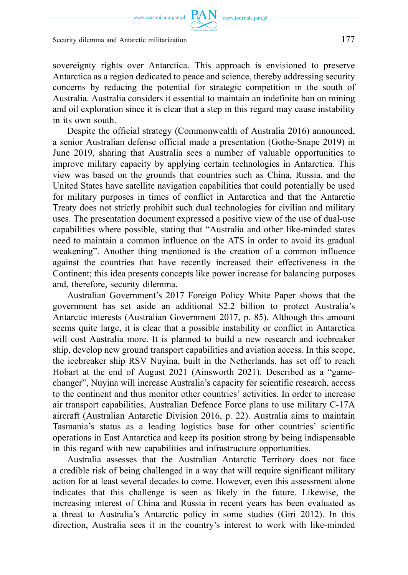sovereignty rights over Antarctica. This approach is envisioned to preserve Antarctica as a region dedicated to peace and science, thereby addressing security concerns by reducing the potential for strategic competition in the south of Australia. Australia considers it essential to maintain an indefinite ban on mining and oil exploration since it is clear that a step in this regard may cause instability in its own south.

Despite the official strategy (Commonwealth of Australia 2016) announced, a senior Australian defense official made a presentation (Gothe-Snape 2019) in June 2019, sharing that Australia sees a number of valuable opportunities to improve military capacity by applying certain technologies in Antarctica. This view was based on the grounds that countries such as China, Russia, and the United States have satellite navigation capabilities that could potentially be used for military purposes in times of conflict in Antarctica and that the Antarctic Treaty does not strictly prohibit such dual technologies for civilian and military uses. The presentation document expressed a positive view of the use of dual-use capabilities where possible, stating that "Australia and other like-minded states need to maintain a common influence on the ATS in order to avoid its gradual weakening". Another thing mentioned is the creation of a common influence against the countries that have recently increased their effectiveness in the Continent; this idea presents concepts like power increase for balancing purposes and, therefore, security dilemma.

Australian Government's 2017 Foreign Policy White Paper shows that the government has set aside an additional \$2.2 billion to protect Australia's Antarctic interests (Australian Government 2017, p. 85). Although this amount seems quite large, it is clear that a possible instability or conflict in Antarctica will cost Australia more. It is planned to build a new research and icebreaker ship, develop new ground transport capabilities and aviation access. In this scope, the icebreaker ship RSV Nuyina, built in the Netherlands, has set off to reach Hobart at the end of August 2021 (Ainsworth 2021). Described as a "gamechanger", Nuyina will increase Australia's capacity for scientific research, access to the continent and thus monitor other countries' activities. In order to increase air transport capabilities, Australian Defence Force plans to use military C-17A aircraft (Australian Antarctic Division 2016, p. 22). Australia aims to maintain Tasmania's status as a leading logistics base for other countries' scientific operations in East Antarctica and keep its position strong by being indispensable in this regard with new capabilities and infrastructure opportunities.

Australia assesses that the Australian Antarctic Territory does not face a credible risk of being challenged in a way that will require significant military action for at least several decades to come. However, even this assessment alone indicates that this challenge is seen as likely in the future. Likewise, the increasing interest of China and Russia in recent years has been evaluated as a threat to Australia's Antarctic policy in some studies (Giri 2012). In this direction, Australia sees it in the country's interest to work with like-minded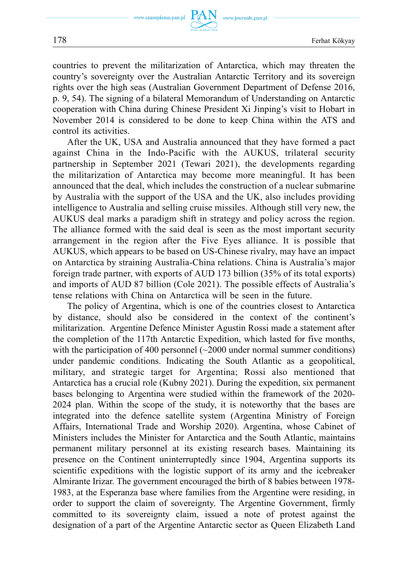www.journals.pan.pl



countries to prevent the militarization of Antarctica, which may threaten the country's sovereignty over the Australian Antarctic Territory and its sovereign rights over the high seas (Australian Government Department of Defense 2016, p. 9, 54). The signing of a bilateral Memorandum of Understanding on Antarctic cooperation with China during Chinese President Xi Jinping's visit to Hobart in November 2014 is considered to be done to keep China within the ATS and control its activities.

After the UK, USA and Australia announced that they have formed a pact against China in the Indo-Pacific with the AUKUS, trilateral security partnership in September 2021 (Tewari 2021), the developments regarding the militarization of Antarctica may become more meaningful. It has been announced that the deal, which includes the construction of a nuclear submarine by Australia with the support of the USA and the UK, also includes providing intelligence to Australia and selling cruise missiles. Although still very new, the AUKUS deal marks a paradigm shift in strategy and policy across the region. The alliance formed with the said deal is seen as the most important security arrangement in the region after the Five Eyes alliance. It is possible that AUKUS, which appears to be based on US-Chinese rivalry, may have an impact on Antarctica by straining Australia-China relations. China is Australia's major foreign trade partner, with exports of AUD 173 billion (35% of its total exports) and imports of AUD 87 billion (Cole 2021). The possible effects of Australia's tense relations with China on Antarctica will be seen in the future.

The policy of Argentina, which is one of the countries closest to Antarctica by distance, should also be considered in the context of the continent's militarization. Argentine Defence Minister Agustin Rossi made a statement after the completion of the 117th Antarctic Expedition, which lasted for five months, with the participation of 400 personnel  $\left(\sim 2000\right)$  under normal summer conditions) under pandemic conditions. Indicating the South Atlantic as a geopolitical, military, and strategic target for Argentina; Rossi also mentioned that Antarctica has a crucial role (Kubny 2021). During the expedition, six permanent bases belonging to Argentina were studied within the framework of the 2020- 2024 plan. Within the scope of the study, it is noteworthy that the bases are integrated into the defence satellite system (Argentina Ministry of Foreign Affairs, International Trade and Worship 2020). Argentina, whose Cabinet of Ministers includes the Minister for Antarctica and the South Atlantic, maintains permanent military personnel at its existing research bases. Maintaining its presence on the Continent uninterruptedly since 1904, Argentina supports its scientific expeditions with the logistic support of its army and the icebreaker Almirante Irizar. The government encouraged the birth of 8 babies between 1978- 1983, at the Esperanza base where families from the Argentine were residing, in order to support the claim of sovereignty. The Argentine Government, firmly committed to its sovereignty claim, issued a note of protest against the designation of a part of the Argentine Antarctic sector as Queen Elizabeth Land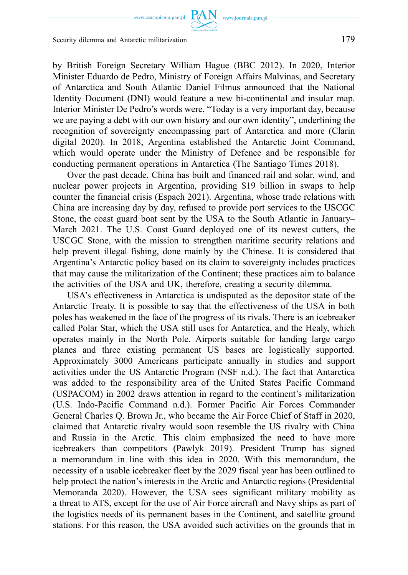www.czasopisma.pan.pl  $\text{ PAN}_{\text{www.journals.pan.pl}}$ 

Security dilemma and Antarctic militarization 179

by British Foreign Secretary William Hague (BBC 2012). In 2020, Interior Minister Eduardo de Pedro, Ministry of Foreign Affairs Malvinas, and Secretary of Antarctica and South Atlantic Daniel Filmus announced that the National Identity Document (DNI) would feature a new bi-continental and insular map. Interior Minister De Pedro's words were, "Today is a very important day, because we are paying a debt with our own history and our own identity", underlining the recognition of sovereignty encompassing part of Antarctica and more (Clarin digital 2020). In 2018, Argentina established the Antarctic Joint Command, which would operate under the Ministry of Defence and be responsible for conducting permanent operations in Antarctica (The Santiago Times 2018).

Over the past decade, China has built and financed rail and solar, wind, and nuclear power projects in Argentina, providing \$19 billion in swaps to help counter the financial crisis (Espach 2021). Argentina, whose trade relations with China are increasing day by day, refused to provide port services to the USCGC Stone, the coast guard boat sent by the USA to the South Atlantic in January– March 2021. The U.S. Coast Guard deployed one of its newest cutters, the USCGC Stone, with the mission to strengthen maritime security relations and help prevent illegal fishing, done mainly by the Chinese. It is considered that Argentina's Antarctic policy based on its claim to sovereignty includes practices that may cause the militarization of the Continent; these practices aim to balance the activities of the USA and UK, therefore, creating a security dilemma.

USA's effectiveness in Antarctica is undisputed as the depositor state of the Antarctic Treaty. It is possible to say that the effectiveness of the USA in both poles has weakened in the face of the progress of its rivals. There is an icebreaker called Polar Star, which the USA still uses for Antarctica, and the Healy, which operates mainly in the North Pole. Airports suitable for landing large cargo planes and three existing permanent US bases are logistically supported. Approximately 3000 Americans participate annually in studies and support activities under the US Antarctic Program (NSF n.d.). The fact that Antarctica was added to the responsibility area of the United States Pacific Command (USPACOM) in 2002 draws attention in regard to the continent's militarization (U.S. Indo-Pacific Command n.d.). Former Pacific Air Forces Commander General Charles Q. Brown Jr., who became the Air Force Chief of Staff in 2020, claimed that Antarctic rivalry would soon resemble the US rivalry with China and Russia in the Arctic. This claim emphasized the need to have more icebreakers than competitors (Pawlyk 2019). President Trump has signed a memorandum in line with this idea in 2020. With this memorandum, the necessity of a usable icebreaker fleet by the 2029 fiscal year has been outlined to help protect the nation's interests in the Arctic and Antarctic regions (Presidential Memoranda 2020). However, the USA sees significant military mobility as a threat to ATS, except for the use of Air Force aircraft and Navy ships as part of the logistics needs of its permanent bases in the Continent, and satellite ground stations. For this reason, the USA avoided such activities on the grounds that in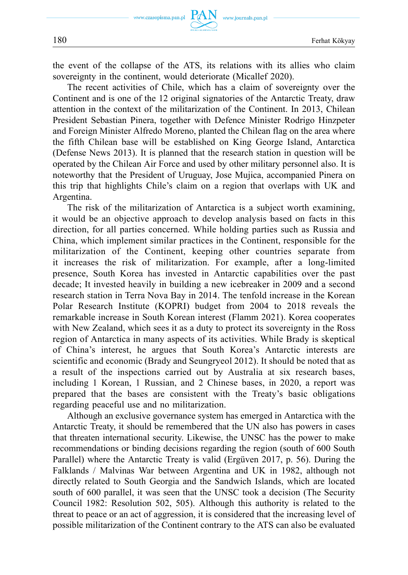the event of the collapse of the ATS, its relations with its allies who claim sovereignty in the continent, would deteriorate (Micallef 2020).

The recent activities of Chile, which has a claim of sovereignty over the Continent and is one of the 12 original signatories of the Antarctic Treaty, draw attention in the context of the militarization of the Continent. In 2013, Chilean President Sebastian Pinera, together with Defence Minister Rodrigo Hinzpeter and Foreign Minister Alfredo Moreno, planted the Chilean flag on the area where the fifth Chilean base will be established on King George Island, Antarctica (Defense News 2013). It is planned that the research station in question will be operated by the Chilean Air Force and used by other military personnel also. It is noteworthy that the President of Uruguay, Jose Mujica, accompanied Pinera on this trip that highlights Chile's claim on a region that overlaps with UK and Argentina.

The risk of the militarization of Antarctica is a subject worth examining, it would be an objective approach to develop analysis based on facts in this direction, for all parties concerned. While holding parties such as Russia and China, which implement similar practices in the Continent, responsible for the militarization of the Continent, keeping other countries separate from it increases the risk of militarization. For example, after a long-limited presence, South Korea has invested in Antarctic capabilities over the past decade; It invested heavily in building a new icebreaker in 2009 and a second research station in Terra Nova Bay in 2014. The tenfold increase in the Korean Polar Research Institute (KOPRI) budget from 2004 to 2018 reveals the remarkable increase in South Korean interest (Flamm 2021). Korea cooperates with New Zealand, which sees it as a duty to protect its sovereignty in the Ross region of Antarctica in many aspects of its activities. While Brady is skeptical of China's interest, he argues that South Korea's Antarctic interests are scientific and economic (Brady and Seungryeol 2012). It should be noted that as a result of the inspections carried out by Australia at six research bases, including 1 Korean, 1 Russian, and 2 Chinese bases, in 2020, a report was prepared that the bases are consistent with the Treaty's basic obligations regarding peaceful use and no militarization.

Although an exclusive governance system has emerged in Antarctica with the Antarctic Treaty, it should be remembered that the UN also has powers in cases that threaten international security. Likewise, the UNSC has the power to make recommendations or binding decisions regarding the region (south of 600 South Parallel) where the Antarctic Treaty is valid (Ergüven 2017, p. 56). During the Falklands / Malvinas War between Argentina and UK in 1982, although not directly related to South Georgia and the Sandwich Islands, which are located south of 600 parallel, it was seen that the UNSC took a decision (The Security Council 1982: Resolution 502, 505). Although this authority is related to the threat to peace or an act of aggression, it is considered that the increasing level of possible militarization of the Continent contrary to the ATS can also be evaluated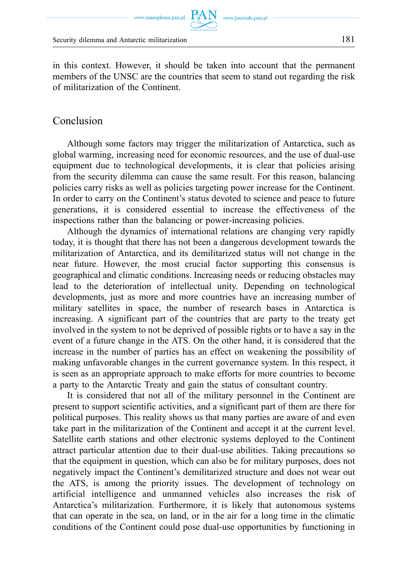Security dilemma and Antarctic militarization 181

of militarization of the Continent.

in this context. However, it should be taken into account that the permanent members of the UNSC are the countries that seem to stand out regarding the risk

#### Conclusion

Although some factors may trigger the militarization of Antarctica, such as global warming, increasing need for economic resources, and the use of dual-use equipment due to technological developments, it is clear that policies arising from the security dilemma can cause the same result. For this reason, balancing policies carry risks as well as policies targeting power increase for the Continent. In order to carry on the Continent's status devoted to science and peace to future generations, it is considered essential to increase the effectiveness of the inspections rather than the balancing or power-increasing policies.

Although the dynamics of international relations are changing very rapidly today, it is thought that there has not been a dangerous development towards the militarization of Antarctica, and its demilitarized status will not change in the near future. However, the most crucial factor supporting this consensus is geographical and climatic conditions. Increasing needs or reducing obstacles may lead to the deterioration of intellectual unity. Depending on technological developments, just as more and more countries have an increasing number of military satellites in space, the number of research bases in Antarctica is increasing. A significant part of the countries that are party to the treaty get involved in the system to not be deprived of possible rights or to have a say in the event of a future change in the ATS. On the other hand, it is considered that the increase in the number of parties has an effect on weakening the possibility of making unfavorable changes in the current governance system. In this respect, it is seen as an appropriate approach to make efforts for more countries to become a party to the Antarctic Treaty and gain the status of consultant country.

It is considered that not all of the military personnel in the Continent are present to support scientific activities, and a significant part of them are there for political purposes. This reality shows us that many parties are aware of and even take part in the militarization of the Continent and accept it at the current level. Satellite earth stations and other electronic systems deployed to the Continent attract particular attention due to their dual-use abilities. Taking precautions so that the equipment in question, which can also be for military purposes, does not negatively impact the Continent's demilitarized structure and does not wear out the ATS, is among the priority issues. The development of technology on artificial intelligence and unmanned vehicles also increases the risk of Antarctica's militarization. Furthermore, it is likely that autonomous systems that can operate in the sea, on land, or in the air for a long time in the climatic conditions of the Continent could pose dual-use opportunities by functioning in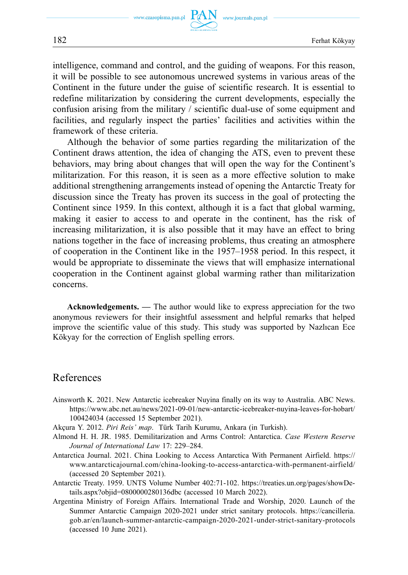intelligence, command and control, and the guiding of weapons. For this reason, it will be possible to see autonomous uncrewed systems in various areas of the Continent in the future under the guise of scientific research. It is essential to redefine militarization by considering the current developments, especially the confusion arising from the military / scientific dual-use of some equipment and facilities, and regularly inspect the parties' facilities and activities within the framework of these criteria.

Although the behavior of some parties regarding the militarization of the Continent draws attention, the idea of changing the ATS, even to prevent these behaviors, may bring about changes that will open the way for the Continent's militarization. For this reason, it is seen as a more effective solution to make additional strengthening arrangements instead of opening the Antarctic Treaty for discussion since the Treaty has proven its success in the goal of protecting the Continent since 1959. In this context, although it is a fact that global warming, making it easier to access to and operate in the continent, has the risk of increasing militarization, it is also possible that it may have an effect to bring nations together in the face of increasing problems, thus creating an atmosphere of cooperation in the Continent like in the 1957–1958 period. In this respect, it would be appropriate to disseminate the views that will emphasize international cooperation in the Continent against global warming rather than militarization concerns.

**Acknowledgements.** *—* The author would like to express appreciation for the two anonymous reviewers for their insightful assessment and helpful remarks that helped improve the scientific value of this study. This study was supported by Nazlıcan Ece Kökyay for the correction of English spelling errors.

#### References

- Ainsworth K. 2021. New Antarctic icebreaker Nuyina finally on its way to Australia. ABC News. [https://www.abc.net.au/news/2021-09-01/new-antarctic-icebreaker-nuyina-leaves-for-hobart/](https://www.abc.net.au/news/2021-09-01/new-antarctic-icebreaker-nuyina-leaves-for-hobart/100424034)  [100424034](https://www.abc.net.au/news/2021-09-01/new-antarctic-icebreaker-nuyina-leaves-for-hobart/100424034) (accessed 15 September 2021).
- Akçura Y. 2012. *Piri Reis' map*. Türk Tarih Kurumu, Ankara (in Turkish).
- Almond H. H. JR. 1985. Demilitarization and Arms Control: Antarctica. *Case Western Reserve Journal of International Law* 17: 229–284.
- Antarctica Journal. 2021. China Looking to Access Antarctica With Permanent Airfield. [https://](https://www.antarcticajournal.com/china-looking-to-access-antarctica-with-permanent-airfield/)  [www.antarcticajournal.com/china-looking-to-access-antarctica-with-permanent-airfield/](https://www.antarcticajournal.com/china-looking-to-access-antarctica-with-permanent-airfield/)  (accessed 20 September 2021).
- Antarctic Treaty. 1959. UNTS Volume Number 402:71-102. [https://treaties.un.org/pages/showDe](https://treaties.un.org/pages/showDetails.aspx?objid=0800000280136dbc)[tails.aspx?objid=0800000280136dbc](https://treaties.un.org/pages/showDetails.aspx?objid=0800000280136dbc) (accessed 10 March 2022).
- Argentina Ministry of Foreign Affairs. International Trade and Worship, 2020. Launch of the Summer Antarctic Campaign 2020-2021 under strict sanitary protocols. [https://cancilleria.](https://cancilleria.gob.ar/en/launch-summer-antarctic-campaign-2020-2021-under-strict-sanitary-protocols)  [gob.ar/en/launch-summer-antarctic-campaign-2020-2021-under-strict-sanitary-protocols](https://cancilleria.gob.ar/en/launch-summer-antarctic-campaign-2020-2021-under-strict-sanitary-protocols)  (accessed 10 June 2021).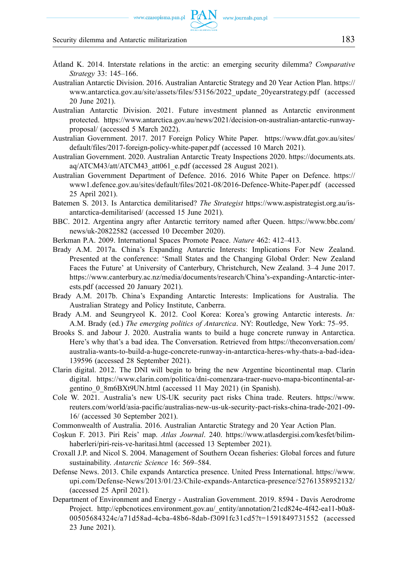#### www.czasopisma.pan.pl

#### Security dilemma and Antarctic militarization 183

- Åtland K. 2014. Interstate relations in the arctic: an emerging security dilemma? *Comparative Strategy* 33: 145–166.
- Australian Antarctic Division. 2016. Australian Antarctic Strategy and 20 Year Action Plan. [https://](https://www.antarctica.gov.au/site/assets/files/53156/2022_update_20yearstrategy.pdf)  [www.antarctica.gov.au/site/assets/files/53156/2022\\_update\\_20yearstrategy.pdf](https://www.antarctica.gov.au/site/assets/files/53156/2022_update_20yearstrategy.pdf) (accessed 20 June 2021).
- Australian Antarctic Division. 2021. Future investment planned as Antarctic environment protected. [https://www.antarctica.gov.au/news/2021/decision-on-australian-antarctic-runway](https://www.antarctica.gov.au/news/2021/decision-on-australian-antarctic-runway-proposal/)[proposal/](https://www.antarctica.gov.au/news/2021/decision-on-australian-antarctic-runway-proposal/) (accessed 5 March 2022).
- Australian Government. 2017. 2017 Foreign Policy White Paper. [https://www.dfat.gov.au/sites/](https://www.dfat.gov.au/sites/default/files/2017-foreign-policy-white-paper.pdf)  [default/files/2017-foreign-policy-white-paper.pdf](https://www.dfat.gov.au/sites/default/files/2017-foreign-policy-white-paper.pdf) (accessed 10 March 2021).
- Australian Government. 2020. Australian Antarctic Treaty Inspections 2020. [https://documents.ats.](https://documents.ats.aq/ATCM43/att/ATCM43_att061_e.pdf)  [aq/ATCM43/att/ATCM43\\_att061\\_e.pdf](https://documents.ats.aq/ATCM43/att/ATCM43_att061_e.pdf) (accessed 28 August 2021).
- Australian Government Department of Defence. 2016. 2016 White Paper on Defence. [https://](https://www1.defence.gov.au/sites/default/files/2021-08/2016-Defence-White-Paper.pdf)  [www1.defence.gov.au/sites/default/files/2021-08/2016-Defence-White-Paper.pdf](https://www1.defence.gov.au/sites/default/files/2021-08/2016-Defence-White-Paper.pdf) (accessed 25 April 2021).
- Batemen S. 2013. Is Antarctica demilitarised? *The Strategist* [https://www.aspistrategist.org.au/is](https://www.aspistrategist.org.au/is-antarctica-demilitarised/)[antarctica-demilitarised/](https://www.aspistrategist.org.au/is-antarctica-demilitarised/) (accessed 15 June 2021).
- BBC. 2012. Argentina angry after Antarctic territory named after Queen. [https://www.bbc.com/](https://www.bbc.com/news/uk-20822582)  [news/uk-20822582](https://www.bbc.com/news/uk-20822582) (accessed 10 December 2020).
- Berkman P.A. 2009. International Spaces Promote Peace. *Nature* 462: 412–413.
- Brady A.M. 2017a. China's Expanding Antarctic Interests: Implications For New Zealand. Presented at the conference: 'Small States and the Changing Global Order: New Zealand Faces the Future' at University of Canterbury, Christchurch, New Zealand. 3–4 June 2017. [https://www.canterbury.ac.nz/media/documents/research/China's-expanding-Antarctic-inter](https://www.canterbury.ac.nz/media/documents/research/China�s-expanding-Antarctic-interests.pdf)[ests.pdf](https://www.canterbury.ac.nz/media/documents/research/China�s-expanding-Antarctic-interests.pdf) (accessed 20 January 2021).
- Brady A.M. 2017b. China's Expanding Antarctic Interests: Implications for Australia. The Australian Strategy and Policy Institute, Canberra.
- Brady A.M. and Seungryeol K. 2012. Cool Korea: Korea's growing Antarctic interests. *In:*  A.M. Brady (ed.) *The emerging politics of Antarctica*. NY: Routledge, New York: 75–95.
- Brooks S. and Jabour J. 2020. Australia wants to build a huge concrete runway in Antarctica. Here's why that's a bad idea. The Conversation. Retrieved from [https://theconversation.com/](https://theconversation.com/australia-wants-to-build-a-huge-concrete-runway-in-antarctica-heres-why-thats-a-bad-idea-139596)  [australia-wants-to-build-a-huge-concrete-runway-in-antarctica-heres-why-thats-a-bad-idea-](https://theconversation.com/australia-wants-to-build-a-huge-concrete-runway-in-antarctica-heres-why-thats-a-bad-idea-139596)[139596](https://theconversation.com/australia-wants-to-build-a-huge-concrete-runway-in-antarctica-heres-why-thats-a-bad-idea-139596) (accessed 28 September 2021).
- Clarin digital. 2012. The DNI will begin to bring the new Argentine bicontinental map. Clarín digital. [https://www.clarin.com/politica/dni-comenzara-traer-nuevo-mapa-bicontinental-ar](https://www.clarin.com/politica/dni-comenzara-traer-nuevo-mapa-bicontinental-argentino_0_8m6BXt9UN.html)gentino 0 8m6BXt9UN.html (accessed 11 May 2021) (in Spanish).
- Cole W. 2021. Australia's new US-UK security pact risks China trade. Reuters. [https://www.](https://www.reuters.com/world/asia-pacific/australias-new-us-uk-security-pact-risks-china-trade-2021-09-16/)  [reuters.com/world/asia-pacific/australias-new-us-uk-security-pact-risks-china-trade-2021-09-](https://www.reuters.com/world/asia-pacific/australias-new-us-uk-security-pact-risks-china-trade-2021-09-16/)  [16/](https://www.reuters.com/world/asia-pacific/australias-new-us-uk-security-pact-risks-china-trade-2021-09-16/) (accessed 30 September 2021).
- Commonwealth of Australia. 2016. Australian Antarctic Strategy and 20 Year Action Plan.
- Coşkun F. 2013. Piri Reis' map. *Atlas Journal*. 240. [https://www.atlasdergisi.com/kesfet/bilim](https://www.atlasdergisi.com/kesfet/bilim-haberleri/piri-reis-ve-haritasi.html)[haberleri/piri-reis-ve-haritasi.html](https://www.atlasdergisi.com/kesfet/bilim-haberleri/piri-reis-ve-haritasi.html) (accessed 13 September 2021).
- Croxall J.P. and Nicol S. 2004. Management of Southern Ocean fisheries: Global forces and future sustainability. *Antarctic Science* 16: 569–584.
- Defense News. 2013. Chile expands Antarctica presence. United Press International. [https://www.](https://www.upi.com/Defense-News/2013/01/23/Chile-expands-Antarctica-presence/52761358952132/)  [upi.com/Defense-News/2013/01/23/Chile-expands-Antarctica-presence/52761358952132/](https://www.upi.com/Defense-News/2013/01/23/Chile-expands-Antarctica-presence/52761358952132/)  (accessed 25 April 2021).
- Department of Environment and Energy Australian Government. 2019. 8594 Davis Aerodrome Project. [http://epbcnotices.environment.gov.au/\\_entity/annotation/21cd824e-4f42-ea11-b0a8-](http://epbcnotices.environment.gov.au/_entity/annotation/21cd824e-4f42-ea11-b0a8-00505684324c/a71d58ad-4cba-48b6-8dab-f3091fc31cd5?t=1591849731552)  [00505684324c/a71d58ad-4cba-48b6-8dab-f3091fc31cd5?t=1591849731552](http://epbcnotices.environment.gov.au/_entity/annotation/21cd824e-4f42-ea11-b0a8-00505684324c/a71d58ad-4cba-48b6-8dab-f3091fc31cd5?t=1591849731552) (accessed 23 June 2021).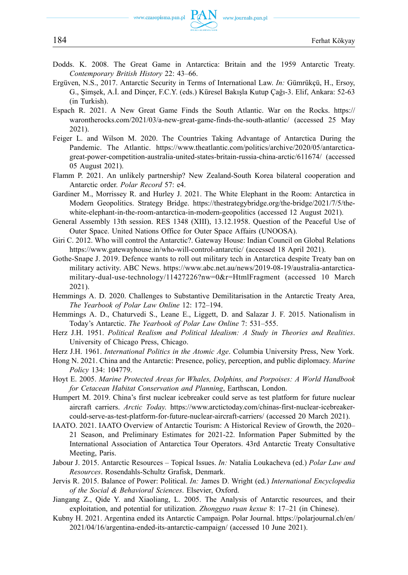www.journals.pan.pl

- Dodds. K. 2008. The Great Game in Antarctica: Britain and the 1959 Antarctic Treaty. *Contemporary British History* 22: 43–66.
- Ergüven, N.S., 2017. Antarctic Security in Terms of International Law. *In:* Gümrükçü, H., Ersoy, G., Şimşek, A.İ. and Dinçer, F.C.Y. (eds.) Küresel Bakışla Kutup Çağı-3. Elif, Ankara: 52-63 (in Turkish).
- Espach R. 2021. A New Great Game Finds the South Atlantic. War on the Rocks. [https://](https://warontherocks.com/2021/03/a-new-great-game-finds-the-south-atlantic/)  [warontherocks.com/2021/03/a-new-great-game-finds-the-south-atlantic/](https://warontherocks.com/2021/03/a-new-great-game-finds-the-south-atlantic/) (accessed 25 May 2021).
- Feiger L. and Wilson M. 2020. The Countries Taking Advantage of Antarctica During the Pandemic. The Atlantic. [https://www.theatlantic.com/politics/archive/2020/05/antarctica](https://www.theatlantic.com/politics/archive/2020/05/antarctica-great-power-competition-australia-united-states-britain-russia-china-arctic/611674/)[great-power-competition-australia-united-states-britain-russia-china-arctic/611674/](https://www.theatlantic.com/politics/archive/2020/05/antarctica-great-power-competition-australia-united-states-britain-russia-china-arctic/611674/) (accessed 05 August 2021).
- Flamm P. 2021. An unlikely partnership? New Zealand-South Korea bilateral cooperation and Antarctic order. *Polar Record* 57: e4.
- Gardiner M., Morrissey R. and Hurley J. 2021. The White Elephant in the Room: Antarctica in Modern Geopolitics. Strategy Bridge. [https://thestrategybridge.org/the-bridge/2021/7/5/the](https://thestrategybridge.org/the-bridge/2021/7/5/the-white-elephant-in-the-room-antarctica-in-modern-geopolitics)[white-elephant-in-the-room-antarctica-in-modern-geopolitics](https://thestrategybridge.org/the-bridge/2021/7/5/the-white-elephant-in-the-room-antarctica-in-modern-geopolitics) (accessed 12 August 2021).
- General Assembly 13th session. RES 1348 (XIII), 13.12.1958. Question of the Peaceful Use of Outer Space. United Nations Office for Outer Space Affairs (UNOOSA).
- Giri C. 2012. Who will control the Antarctic?. Gateway House: Indian Council on Global Relations <https://www.gatewayhouse.in/who-will-control-antarctic/>(accessed 18 April 2021).
- Gothe-Snape J. 2019. Defence wants to roll out military tech in Antarctica despite Treaty ban on military activity. ABC News. [https://www.abc.net.au/news/2019-08-19/australia-antarctica](https://www.abc.net.au/news/2019-08-19/australia-antarctica-military-dual-use-technology/11427226?nw=0&r=HtmlFragment)[military-dual-use-technology/11427226?nw=0&r=HtmlFragment](https://www.abc.net.au/news/2019-08-19/australia-antarctica-military-dual-use-technology/11427226?nw=0&r=HtmlFragment) (accessed 10 March 2021).
- Hemmings A. D. 2020. Challenges to Substantive Demilitarisation in the Antarctic Treaty Area, *The Yearbook of Polar Law Online* 12: 172–194.
- Hemmings A. D., Chaturvedi S., Leane E., Liggett, D. and Salazar J. F. 2015. Nationalism in Today's Antarctic. *The Yearbook of Polar Law Online* 7: 531–555.
- Herz J.H. 1951. *Political Realism and Political Idealism: A Study in Theories and Realities*. University of Chicago Press, Chicago.
- Herz J.H. 1961. *International Politics in the Atomic Age*. Columbia University Press, New York.
- Hong N. 2021. China and the Antarctic: Presence, policy, perception, and public diplomacy. *Marine Policy* 134: 104779.
- Hoyt E. 2005. *Marine Protected Areas for Whales, Dolphins, and Porpoises: A World Handbook for Cetacean Habitat Conservation and Planning*, Earthscan, London.
- Humpert M. 2019. China's first nuclear icebreaker could serve as test platform for future nuclear aircraft carriers. *Arctic Today*. [https://www.arctictoday.com/chinas-first-nuclear-icebreaker](https://www.arctictoday.com/chinas-first-nuclear-icebreaker-could-serve-as-test-platform-for-future-nuclear-aircraft-carriers/)[could-serve-as-test-platform-for-future-nuclear-aircraft-carriers/](https://www.arctictoday.com/chinas-first-nuclear-icebreaker-could-serve-as-test-platform-for-future-nuclear-aircraft-carriers/) (accessed 20 March 2021).
- IAATO. 2021. IAATO Overview of Antarctic Tourism: A Historical Review of Growth, the 2020– 21 Season, and Preliminary Estimates for 2021-22. Information Paper Submitted by the International Association of Antarctica Tour Operators. 43rd Antarctic Treaty Consultative Meeting, Paris.
- Jabour J. 2015. Antarctic Resources Topical Issues. *In:* Natalia Loukacheva (ed.) *Polar Law and Resources*. Rosendahls‐Schultz Grafisk, Denmark.
- Jervis R. 2015. Balance of Power: Political. *In:* James D. Wright (ed.) *International Encyclopedia of the Social & Behavioral Sciences*. Elsevier, Oxford.
- Jiangang Z., Qide Y. and Xiaoliang, L. 2005. The Analysis of Antarctic resources, and their exploitation, and potential for utilization. *Zhongguo ruan kexue* 8: 17–21 (in Chinese).
- Kubny H. 2021. Argentina ended its Antarctic Campaign. Polar Journal. [https://polarjournal.ch/en/](https://polarjournal.ch/en/2021/04/16/argentina-ended-its-antarctic-campaign/)  [2021/04/16/argentina-ended-its-antarctic-campaign/](https://polarjournal.ch/en/2021/04/16/argentina-ended-its-antarctic-campaign/) (accessed 10 June 2021).